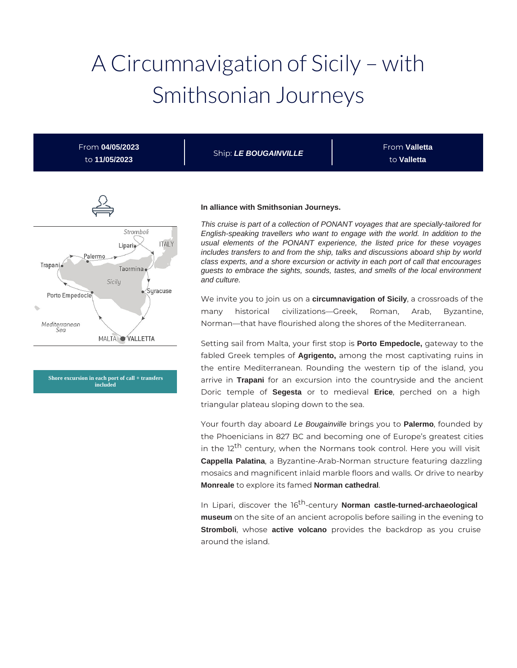# A Circumnavigation of Sicily – with Smithsonian Journeys

From **04/05/2023** to **11/05/2023**

Ship: **LE BOUGAINVILLE**

From **Valletta** to **Valletta**



**Shore excursion in each port of call + transfers included**

#### **In alliance with Smithsonian Journeys.**

This cruise is part of a collection of PONANT voyages that are specially-tailored for English-speaking travellers who want to engage with the world. In addition to the usual elements of the PONANT experience, the listed price for these voyages includes transfers to and from the ship, talks and discussions aboard ship by world class experts, and a shore excursion or activity in each port of call that encourages guests to embrace the sights, sounds, tastes, and smells of the local environment and culture.

We invite you to join us on a **circumnavigation of Sicily**, a crossroads of the many historical civilizations—Greek, Roman, Arab, Byzantine, Norman—that have flourished along the shores of the Mediterranean.

Setting sail from Malta, your first stop is **Porto Empedocle,** gateway to the fabled Greek temples of **Agrigento,** among the most captivating ruins in the entire Mediterranean. Rounding the western tip of the island, you arrive in **Trapani** for an excursion into the countryside and the ancient Doric temple of **Segesta** or to medieval **Erice**, perched on a high triangular plateau sloping down to the sea.

Your fourth day aboard Le Bougainville brings you to **Palermo**, founded by the Phoenicians in 827 BC and becoming one of Europe's greatest cities in the 12<sup>th</sup> century, when the Normans took control. Here you will visit **Cappella Palatina**, a Byzantine-Arab-Norman structure featuring dazzling mosaics and magnificent inlaid marble floors and walls. Or drive to nearby **Monreale** to explore its famed **Norman cathedral**.

In Lipari, discover the 16<sup>th</sup>-century **Norman castle-turned-archaeological museum** on the site of an ancient acropolis before sailing in the evening to **Stromboli**, whose **active volcano** provides the backdrop as you cruise around the island.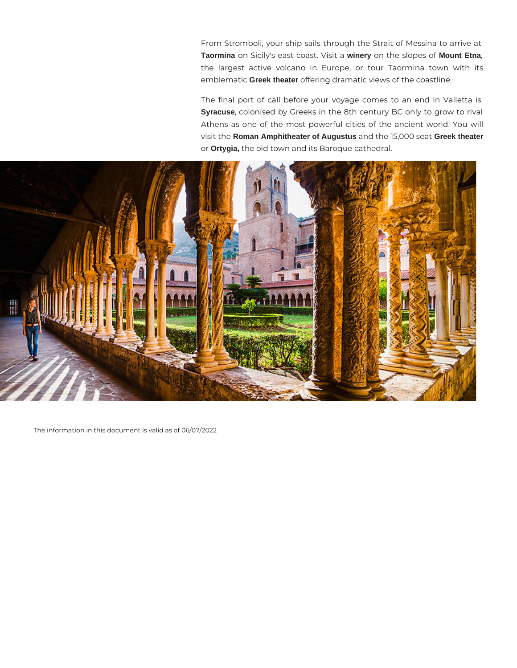From Stromboli, your ship sails through the Strait of Messina to arrive at **Taormina** on Sicily's east coast. Visit a **winery** on the slopes of **Mount Etna**, the largest active volcano in Europe, or tour Taormina town with its emblematic **Greek theater** offering dramatic views of the coastline.

The final port of call before your voyage comes to an end in Valletta is **Syracuse**, colonised by Greeks in the 8th century BC only to grow to rival Athens as one of the most powerful cities of the ancient world. You will visit the **Roman Amphitheater of Augustus** and the 15,000 seat **Greek theater** or **Ortygia,** the old town and its Baroque cathedral.



The information in this document is valid as of 06/07/2022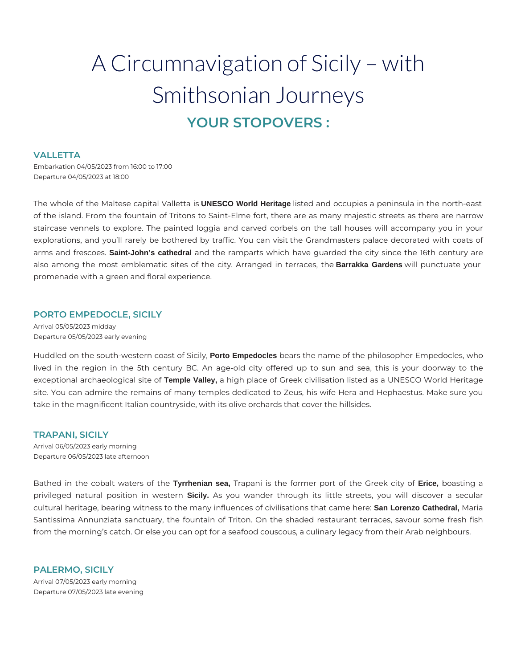## A Circumnavigation of Sicily – with Smithsonian Journeys **YOUR STOPOVERS :**

## **VALLETTA**

Embarkation 04/05/2023 from 16:00 to 17:00 Departure 04/05/2023 at 18:00

The whole of the Maltese capital Valletta is **UNESCO World Heritage** listed and occupies a peninsula in the north-east of the island. From the fountain of Tritons to Saint-Elme fort, there are as many majestic streets as there are narrow staircase vennels to explore. The painted loggia and carved corbels on the tall houses will accompany you in your explorations, and you'll rarely be bothered by traffic. You can visit the Grandmasters palace decorated with coats of arms and frescoes. **Saint-John's cathedral** and the ramparts which have guarded the city since the 16th century are also among the most emblematic sites of the city. Arranged in terraces, the **Barrakka Gardens** will punctuate your promenade with a green and floral experience.

## **PORTO EMPEDOCLE, SICILY**

Arrival 05/05/2023 midday Departure 05/05/2023 early evening

Huddled on the south-western coast of Sicily, **Porto Empedocles** bears the name of the philosopher Empedocles, who lived in the region in the 5th century BC. An age-old city offered up to sun and sea, this is your doorway to the exceptional archaeological site of **Temple Valley,** a high place of Greek civilisation listed as a UNESCO World Heritage site. You can admire the remains of many temples dedicated to Zeus, his wife Hera and Hephaestus. Make sure you take in the magnificent Italian countryside, with its olive orchards that cover the hillsides.

#### **TRAPANI, SICILY**

Arrival 06/05/2023 early morning Departure 06/05/2023 late afternoon

Bathed in the cobalt waters of the **Tyrrhenian sea,** Trapani is the former port of the Greek city of **Erice,** boasting a privileged natural position in western **Sicily.** As you wander through its little streets, you will discover a secular cultural heritage, bearing witness to the many influences of civilisations that came here: **San Lorenzo Cathedral,** Maria Santissima Annunziata sanctuary, the fountain of Triton. On the shaded restaurant terraces, savour some fresh fish from the morning's catch. Or else you can opt for a seafood couscous, a culinary legacy from their Arab neighbours.

**PALERMO, SICILY**  Arrival 07/05/2023 early morning Departure 07/05/2023 late evening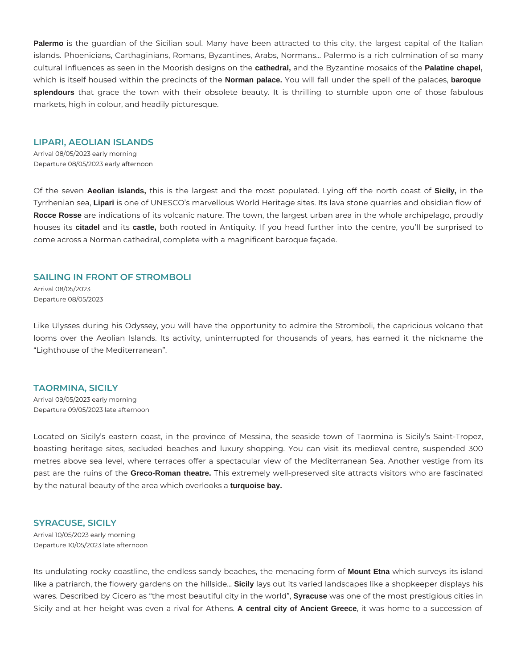**Palermo** is the guardian of the Sicilian soul. Many have been attracted to this city, the largest capital of the Italian islands. Phoenicians, Carthaginians, Romans, Byzantines, Arabs, Normans... Palermo is a rich culmination of so many cultural influences as seen in the Moorish designs on the **cathedral,** and the Byzantine mosaics of the **Palatine chapel,** which is itself housed within the precincts of the **Norman palace.** You will fall under the spell of the palaces, **baroque splendours** that grace the town with their obsolete beauty. It is thrilling to stumble upon one of those fabulous markets, high in colour, and headily picturesque.

#### **LIPARI, AEOLIAN ISLANDS**

Arrival 08/05/2023 early morning Departure 08/05/2023 early afternoon

Of the seven **Aeolian islands,** this is the largest and the most populated. Lying off the north coast of **Sicily,** in the Tyrrhenian sea, **Lipari** is one of UNESCO's marvellous World Heritage sites. Its lava stone quarries and obsidian flow of **Rocce Rosse** are indications of its volcanic nature. The town, the largest urban area in the whole archipelago, proudly houses its **citadel** and its **castle,** both rooted in Antiquity. If you head further into the centre, you'll be surprised to come across a Norman cathedral, complete with a magnificent baroque façade.

## **SAILING IN FRONT OF STROMBOLI**

Arrival 08/05/2023 Departure 08/05/2023

Like Ulysses during his Odyssey, you will have the opportunity to admire the Stromboli, the capricious volcano that looms over the Aeolian Islands. Its activity, uninterrupted for thousands of years, has earned it the nickname the "Lighthouse of the Mediterranean".

## **TAORMINA, SICILY**

Arrival 09/05/2023 early morning Departure 09/05/2023 late afternoon

Located on Sicily's eastern coast, in the province of Messina, the seaside town of Taormina is Sicily's Saint-Tropez, boasting heritage sites, secluded beaches and luxury shopping. You can visit its medieval centre, suspended 300 metres above sea level, where terraces offer a spectacular view of the Mediterranean Sea. Another vestige from its past are the ruins of the **Greco-Roman theatre.** This extremely well-preserved site attracts visitors who are fascinated by the natural beauty of the area which overlooks a **turquoise bay.**

## **SYRACUSE, SICILY**

Arrival 10/05/2023 early morning Departure 10/05/2023 late afternoon

Its undulating rocky coastline, the endless sandy beaches, the menacing form of **Mount Etna** which surveys its island like a patriarch, the flowery gardens on the hillside... **Sicily** lays out its varied landscapes like a shopkeeper displays his wares. Described by Cicero as "the most beautiful city in the world", **Syracuse** was one of the most prestigious cities in Sicily and at her height was even a rival for Athens. **A central city of Ancient Greece**, it was home to a succession of